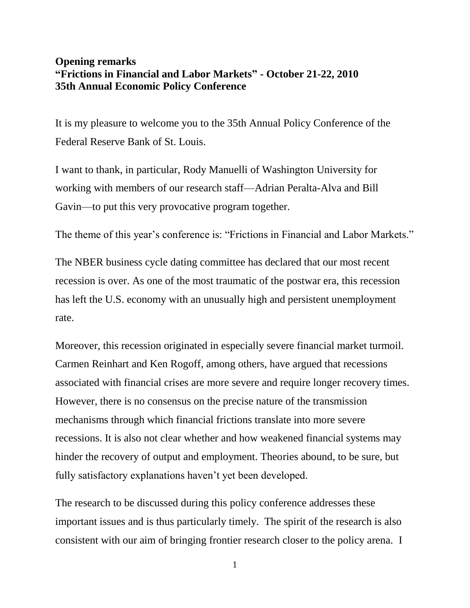## **Opening remarks "Frictions in Financial and Labor Markets" - October 21-22, 2010 35th Annual Economic Policy Conference**

It is my pleasure to welcome you to the 35th Annual Policy Conference of the Federal Reserve Bank of St. Louis.

I want to thank, in particular, Rody Manuelli of Washington University for working with members of our research staff—Adrian Peralta-Alva and Bill Gavin—to put this very provocative program together.

The theme of this year's conference is: "Frictions in Financial and Labor Markets."

The NBER business cycle dating committee has declared that our most recent recession is over. As one of the most traumatic of the postwar era, this recession has left the U.S. economy with an unusually high and persistent unemployment rate.

Moreover, this recession originated in especially severe financial market turmoil. Carmen Reinhart and Ken Rogoff, among others, have argued that recessions associated with financial crises are more severe and require longer recovery times. However, there is no consensus on the precise nature of the transmission mechanisms through which financial frictions translate into more severe recessions. It is also not clear whether and how weakened financial systems may hinder the recovery of output and employment. Theories abound, to be sure, but fully satisfactory explanations haven't yet been developed.

The research to be discussed during this policy conference addresses these important issues and is thus particularly timely. The spirit of the research is also consistent with our aim of bringing frontier research closer to the policy arena. I

1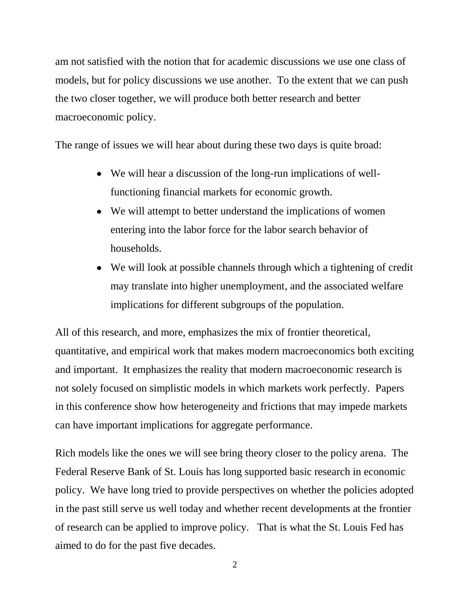am not satisfied with the notion that for academic discussions we use one class of models, but for policy discussions we use another. To the extent that we can push the two closer together, we will produce both better research and better macroeconomic policy.

The range of issues we will hear about during these two days is quite broad:

- We will hear a discussion of the long-run implications of wellfunctioning financial markets for economic growth.
- We will attempt to better understand the implications of women entering into the labor force for the labor search behavior of households.
- We will look at possible channels through which a tightening of credit may translate into higher unemployment, and the associated welfare implications for different subgroups of the population.

All of this research, and more, emphasizes the mix of frontier theoretical, quantitative, and empirical work that makes modern macroeconomics both exciting and important. It emphasizes the reality that modern macroeconomic research is not solely focused on simplistic models in which markets work perfectly. Papers in this conference show how heterogeneity and frictions that may impede markets can have important implications for aggregate performance.

Rich models like the ones we will see bring theory closer to the policy arena. The Federal Reserve Bank of St. Louis has long supported basic research in economic policy. We have long tried to provide perspectives on whether the policies adopted in the past still serve us well today and whether recent developments at the frontier of research can be applied to improve policy. That is what the St. Louis Fed has aimed to do for the past five decades.

2